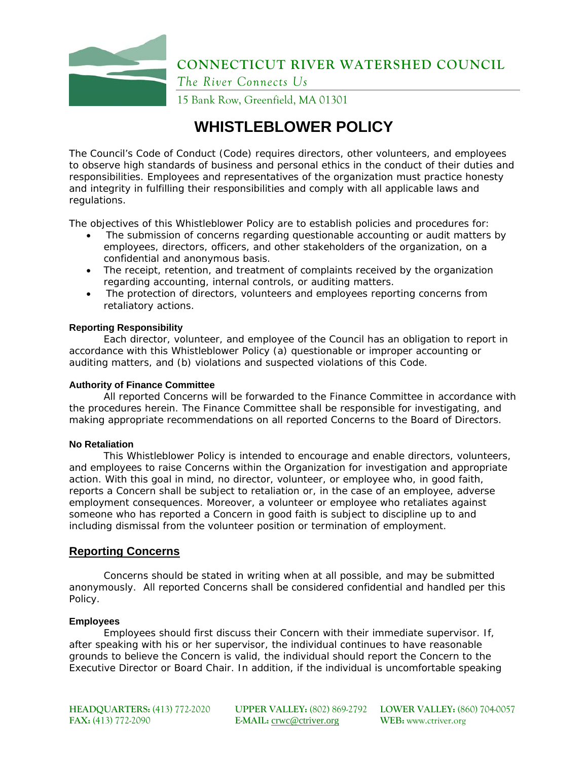

**CONNECTICUT RIVER WATERSHED COUNCIL** 

*The River Connects Us* 

15 Bank Row, Greenfield, MA 01301

# **WHISTLEBLOWER POLICY**

The Council's Code of Conduct (Code) requires directors, other volunteers, and employees to observe high standards of business and personal ethics in the conduct of their duties and responsibilities. Employees and representatives of the organization must practice honesty and integrity in fulfilling their responsibilities and comply with all applicable laws and regulations.

The objectives of this Whistleblower Policy are to establish policies and procedures for:

- The submission of concerns regarding questionable accounting or audit matters by employees, directors, officers, and other stakeholders of the organization, on a confidential and anonymous basis.
- The receipt, retention, and treatment of complaints received by the organization regarding accounting, internal controls, or auditing matters.
- The protection of directors, volunteers and employees reporting concerns from retaliatory actions.

### **Reporting Responsibility**

Each director, volunteer, and employee of the Council has an obligation to report in accordance with this Whistleblower Policy (a) questionable or improper accounting or auditing matters, and (b) violations and suspected violations of this Code.

### **Authority of Finance Committee**

All reported Concerns will be forwarded to the Finance Committee in accordance with the procedures herein. The Finance Committee shall be responsible for investigating, and making appropriate recommendations on all reported Concerns to the Board of Directors.

### **No Retaliation**

This Whistleblower Policy is intended to encourage and enable directors, volunteers, and employees to raise Concerns within the Organization for investigation and appropriate action. With this goal in mind, no director, volunteer, or employee who, in good faith, reports a Concern shall be subject to retaliation or, in the case of an employee, adverse employment consequences. Moreover, a volunteer or employee who retaliates against someone who has reported a Concern in good faith is subject to discipline up to and including dismissal from the volunteer position or termination of employment.

### **Reporting Concerns**

Concerns should be stated in writing when at all possible, and may be submitted anonymously. All reported Concerns shall be considered confidential and handled per this Policy.

### **Employees**

Employees should first discuss their Concern with their immediate supervisor. If, after speaking with his or her supervisor, the individual continues to have reasonable grounds to believe the Concern is valid, the individual should report the Concern to the Executive Director or Board Chair. In addition, if the individual is uncomfortable speaking